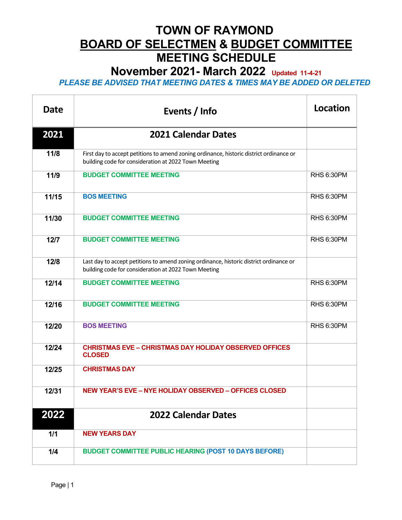**November 2021- March 2022 Updated 11-4-21**

| Date   | Events / Info                                                                                                                                   | <b>Location</b>   |
|--------|-------------------------------------------------------------------------------------------------------------------------------------------------|-------------------|
| 2021   | <b>2021 Calendar Dates</b>                                                                                                                      |                   |
| 11/8   | First day to accept petitions to amend zoning ordinance, historic district ordinance or<br>building code for consideration at 2022 Town Meeting |                   |
| 11/9   | <b>BUDGET COMMITTEE MEETING</b>                                                                                                                 | <b>RHS 6:30PM</b> |
| 11/15  | <b>BOS MEETING</b>                                                                                                                              | <b>RHS 6:30PM</b> |
| 11/30  | <b>BUDGET COMMITTEE MEETING</b>                                                                                                                 | <b>RHS 6:30PM</b> |
| $12/7$ | <b>BUDGET COMMITTEE MEETING</b>                                                                                                                 | <b>RHS 6:30PM</b> |
| 12/8   | Last day to accept petitions to amend zoning ordinance, historic district ordinance or<br>building code for consideration at 2022 Town Meeting  |                   |
| 12/14  | <b>BUDGET COMMITTEE MEETING</b>                                                                                                                 | <b>RHS 6:30PM</b> |
| 12/16  | <b>BUDGET COMMITTEE MEETING</b>                                                                                                                 | <b>RHS 6:30PM</b> |
| 12/20  | <b>BOS MEETING</b>                                                                                                                              | <b>RHS 6:30PM</b> |
| 12/24  | <b>CHRISTMAS EVE - CHRISTMAS DAY HOLIDAY OBSERVED OFFICES</b><br><b>CLOSED</b>                                                                  |                   |
| 12/25  | <b>CHRISTMAS DAY</b>                                                                                                                            |                   |
| 12/31  | <b>NEW YEAR'S EVE - NYE HOLIDAY OBSERVED - OFFICES CLOSED</b>                                                                                   |                   |
| 2022   | <b>2022 Calendar Dates</b>                                                                                                                      |                   |
| 1/1    | <b>NEW YEARS DAY</b>                                                                                                                            |                   |
| 1/4    | <b>BUDGET COMMITTEE PUBLIC HEARING (POST 10 DAYS BEFORE)</b>                                                                                    |                   |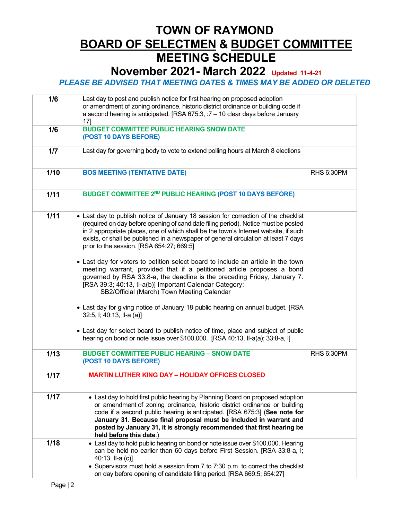#### **November 2021- March 2022 Updated 11-4-21**

| 1/6  | Last day to post and publish notice for first hearing on proposed adoption<br>or amendment of zoning ordinance, historic district ordinance or building code if<br>a second hearing is anticipated. [RSA 675:3, $:7 - 10$ clear days before January<br>17                                                                                                                                                                                                                               |                   |
|------|-----------------------------------------------------------------------------------------------------------------------------------------------------------------------------------------------------------------------------------------------------------------------------------------------------------------------------------------------------------------------------------------------------------------------------------------------------------------------------------------|-------------------|
| 1/6  | <b>BUDGET COMMITTEE PUBLIC HEARING SNOW DATE</b><br>(POST 10 DAYS BEFORE)                                                                                                                                                                                                                                                                                                                                                                                                               |                   |
| 1/7  | Last day for governing body to vote to extend polling hours at March 8 elections                                                                                                                                                                                                                                                                                                                                                                                                        |                   |
| 1/10 | <b>BOS MEETING (TENTATIVE DATE)</b>                                                                                                                                                                                                                                                                                                                                                                                                                                                     | <b>RHS 6:30PM</b> |
| 1/11 | BUDGET COMMITTEE 2 <sup>ND</sup> PUBLIC HEARING (POST 10 DAYS BEFORE)                                                                                                                                                                                                                                                                                                                                                                                                                   |                   |
| 1/11 | • Last day to publish notice of January 18 session for correction of the checklist<br>(required on day before opening of candidate filing period). Notice must be posted<br>in 2 appropriate places, one of which shall be the town's Internet website, if such<br>exists, or shall be published in a newspaper of general circulation at least 7 days<br>prior to the session. [RSA 654:27; 669:5]<br>• Last day for voters to petition select board to include an article in the town |                   |
|      | meeting warrant, provided that if a petitioned article proposes a bond<br>governed by RSA 33:8-a, the deadline is the preceding Friday, January 7.<br>[RSA 39:3; 40:13, II-a(b)] Important Calendar Category:<br>SB2/Official (March) Town Meeting Calendar<br>• Last day for giving notice of January 18 public hearing on annual budget. [RSA                                                                                                                                         |                   |
|      | 32:5, I; 40:13, II-a (a)]                                                                                                                                                                                                                                                                                                                                                                                                                                                               |                   |
|      | • Last day for select board to publish notice of time, place and subject of public<br>hearing on bond or note issue over \$100,000. [RSA 40:13, II-a(a); 33:8-a, I]                                                                                                                                                                                                                                                                                                                     |                   |
| 1/13 | <b>BUDGET COMMITTEE PUBLIC HEARING - SNOW DATE</b><br>(POST 10 DAYS BEFORE)                                                                                                                                                                                                                                                                                                                                                                                                             | <b>RHS 6:30PM</b> |
| 1/17 | <b>MARTIN LUTHER KING DAY - HOLIDAY OFFICES CLOSED</b>                                                                                                                                                                                                                                                                                                                                                                                                                                  |                   |
| 1/17 | • Last day to hold first public hearing by Planning Board on proposed adoption<br>or amendment of zoning ordinance, historic district ordinance or building<br>code if a second public hearing is anticipated. [RSA 675:3] (See note for<br>January 31. Because final proposal must be included in warrant and<br>posted by January 31, it is strongly recommended that first hearing be<br>held before this date.)                                                                     |                   |
| 1/18 | • Last day to hold public hearing on bond or note issue over \$100,000. Hearing<br>can be held no earlier than 60 days before First Session. [RSA 33:8-a, I;<br>40:13, II-a (c)]<br>• Supervisors must hold a session from 7 to 7:30 p.m. to correct the checklist<br>on day before opening of candidate filing period. [RSA 669:5; 654:27]                                                                                                                                             |                   |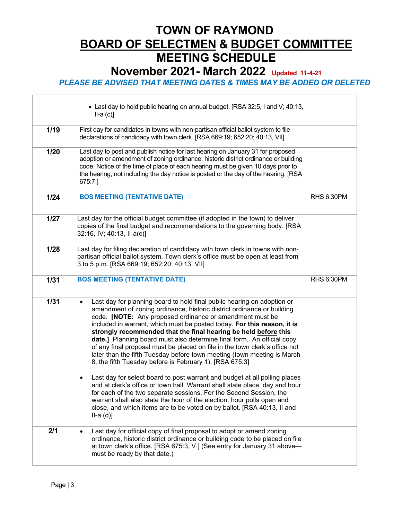**November 2021- March 2022 Updated 11-4-21**

#### *PLEASE BE ADVISED THAT MEETING DATES & TIMES MAY BE ADDED OR DELETED*

 $\overline{\phantom{0}}$ 

 $\overline{\phantom{0}}$ 

|        | • Last day to hold public hearing on annual budget. [RSA 32:5, I and V; 40:13,<br>$II-a(c)]$                                                                                                                                                                                                                                                                                                                                                                                                                                                                                                                                                                                                                                                                                                                                                                                                                                                                                                                                                                                               |                   |
|--------|--------------------------------------------------------------------------------------------------------------------------------------------------------------------------------------------------------------------------------------------------------------------------------------------------------------------------------------------------------------------------------------------------------------------------------------------------------------------------------------------------------------------------------------------------------------------------------------------------------------------------------------------------------------------------------------------------------------------------------------------------------------------------------------------------------------------------------------------------------------------------------------------------------------------------------------------------------------------------------------------------------------------------------------------------------------------------------------------|-------------------|
| 1/19   | First day for candidates in towns with non-partisan official ballot system to file<br>declarations of candidacy with town clerk. [RSA 669:19; 652:20; 40:13, VII]                                                                                                                                                                                                                                                                                                                                                                                                                                                                                                                                                                                                                                                                                                                                                                                                                                                                                                                          |                   |
| 1/20   | Last day to post and publish notice for last hearing on January 31 for proposed<br>adoption or amendment of zoning ordinance, historic district ordinance or building<br>code. Notice of the time of place of each hearing must be given 10 days prior to<br>the hearing, not including the day notice is posted or the day of the hearing. [RSA<br>675:7.]                                                                                                                                                                                                                                                                                                                                                                                                                                                                                                                                                                                                                                                                                                                                |                   |
| $1/24$ | <b>BOS MEETING (TENTATIVE DATE)</b>                                                                                                                                                                                                                                                                                                                                                                                                                                                                                                                                                                                                                                                                                                                                                                                                                                                                                                                                                                                                                                                        | <b>RHS 6:30PM</b> |
| 1/27   | Last day for the official budget committee (if adopted in the town) to deliver<br>copies of the final budget and recommendations to the governing body. [RSA<br>32:16, IV; 40:13, II-a(c)]                                                                                                                                                                                                                                                                                                                                                                                                                                                                                                                                                                                                                                                                                                                                                                                                                                                                                                 |                   |
| 1/28   | Last day for filing declaration of candidacy with town clerk in towns with non-<br>partisan official ballot system. Town clerk's office must be open at least from<br>3 to 5 p.m. [RSA 669:19; 652:20; 40:13, VII]                                                                                                                                                                                                                                                                                                                                                                                                                                                                                                                                                                                                                                                                                                                                                                                                                                                                         |                   |
| $1/31$ | <b>BOS MEETING (TENTATIVE DATE)</b>                                                                                                                                                                                                                                                                                                                                                                                                                                                                                                                                                                                                                                                                                                                                                                                                                                                                                                                                                                                                                                                        | <b>RHS 6:30PM</b> |
| 1/31   | Last day for planning board to hold final public hearing on adoption or<br>$\bullet$<br>amendment of zoning ordinance, historic district ordinance or building<br>code. [NOTE: Any proposed ordinance or amendment must be<br>included in warrant, which must be posted today. For this reason, it is<br>strongly recommended that the final hearing be held before this<br>date.] Planning board must also determine final form. An official copy<br>of any final proposal must be placed on file in the town clerk's office not<br>later than the fifth Tuesday before town meeting (town meeting is March<br>8, the fifth Tuesday before is February 1). [RSA 675:3]<br>Last day for select board to post warrant and budget at all polling places<br>$\bullet$<br>and at clerk's office or town hall. Warrant shall state place, day and hour<br>for each of the two separate sessions. For the Second Session, the<br>warrant shall also state the hour of the election, hour polls open and<br>close, and which items are to be voted on by ballot. [RSA 40:13, II and<br>$II-a(d)]$ |                   |
| 2/1    | Last day for official copy of final proposal to adopt or amend zoning<br>ordinance, historic district ordinance or building code to be placed on file<br>at town clerk's office. [RSA 675:3, V.] (See entry for January 31 above-<br>must be ready by that date.)                                                                                                                                                                                                                                                                                                                                                                                                                                                                                                                                                                                                                                                                                                                                                                                                                          |                   |

 $\Gamma$ 

 $\overline{\phantom{a}}$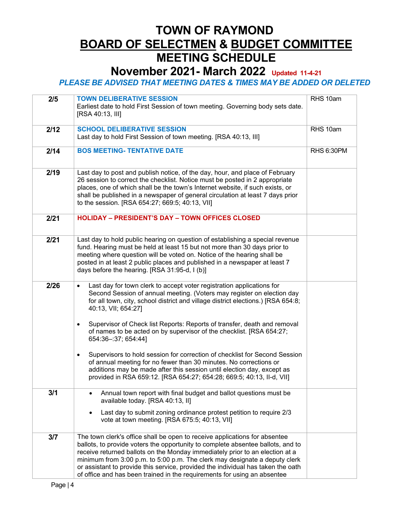### **November 2021- March 2022 Updated 11-4-21**

| 2/5  | <b>TOWN DELIBERATIVE SESSION</b><br>Earliest date to hold First Session of town meeting. Governing body sets date.<br>[RSA 40:13, III]                                                                                                                                                                                                                                                                                                                                                      | RHS 10am          |
|------|---------------------------------------------------------------------------------------------------------------------------------------------------------------------------------------------------------------------------------------------------------------------------------------------------------------------------------------------------------------------------------------------------------------------------------------------------------------------------------------------|-------------------|
| 2/12 | <b>SCHOOL DELIBERATIVE SESSION</b><br>Last day to hold First Session of town meeting. [RSA 40:13, III]                                                                                                                                                                                                                                                                                                                                                                                      | RHS 10am          |
| 2/14 | <b>BOS MEETING- TENTATIVE DATE</b>                                                                                                                                                                                                                                                                                                                                                                                                                                                          | <b>RHS 6:30PM</b> |
| 2/19 | Last day to post and publish notice, of the day, hour, and place of February<br>26 session to correct the checklist. Notice must be posted in 2 appropriate<br>places, one of which shall be the town's Internet website, if such exists, or<br>shall be published in a newspaper of general circulation at least 7 days prior<br>to the session. [RSA 654:27; 669:5; 40:13, VII]                                                                                                           |                   |
| 2/21 | <b>HOLIDAY - PRESIDENT'S DAY - TOWN OFFICES CLOSED</b>                                                                                                                                                                                                                                                                                                                                                                                                                                      |                   |
| 2/21 | Last day to hold public hearing on question of establishing a special revenue<br>fund. Hearing must be held at least 15 but not more than 30 days prior to<br>meeting where question will be voted on. Notice of the hearing shall be<br>posted in at least 2 public places and published in a newspaper at least 7<br>days before the hearing. [RSA 31:95-d, I (b)]                                                                                                                        |                   |
| 2/26 | Last day for town clerk to accept voter registration applications for<br>Second Session of annual meeting. (Voters may register on election day<br>for all town, city, school district and village district elections.) [RSA 654:8;<br>40:13, VII; 654:27]<br>Supervisor of Check list Reports: Reports of transfer, death and removal<br>$\bullet$<br>of names to be acted on by supervisor of the checklist. [RSA 654:27;<br>654:36-:37; 654:44]                                          |                   |
|      | Supervisors to hold session for correction of checklist for Second Session<br>$\bullet$<br>of annual meeting for no fewer than 30 minutes. No corrections or<br>additions may be made after this session until election day, except as<br>provided in RSA 659:12. [RSA 654:27; 654:28; 669:5; 40:13, II-d, VII]                                                                                                                                                                             |                   |
| 3/1  | Annual town report with final budget and ballot questions must be<br>available today. [RSA 40:13, II]                                                                                                                                                                                                                                                                                                                                                                                       |                   |
|      | Last day to submit zoning ordinance protest petition to require 2/3<br>vote at town meeting. [RSA 675:5; 40:13, VII]                                                                                                                                                                                                                                                                                                                                                                        |                   |
| 3/7  | The town clerk's office shall be open to receive applications for absentee<br>ballots, to provide voters the opportunity to complete absentee ballots, and to<br>receive returned ballots on the Monday immediately prior to an election at a<br>minimum from 3:00 p.m. to 5:00 p.m. The clerk may designate a deputy clerk<br>or assistant to provide this service, provided the individual has taken the oath<br>of office and has been trained in the requirements for using an absentee |                   |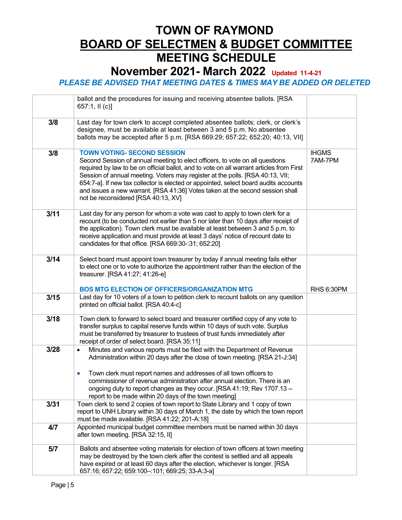### **TOWN OF RAYMOND BOARD OF SELECTMEN & BUDGET COMMITTEE MEETING SCHEDULE November 2021- March 2022 Updated 11-4-21**

|      | ballot and the procedures for issuing and receiving absentee ballots. [RSA<br>657:1, II (c)]                                                                                                                                                                                                                                                                                                                                                                                                                    |                         |
|------|-----------------------------------------------------------------------------------------------------------------------------------------------------------------------------------------------------------------------------------------------------------------------------------------------------------------------------------------------------------------------------------------------------------------------------------------------------------------------------------------------------------------|-------------------------|
| 3/8  | Last day for town clerk to accept completed absentee ballots; clerk, or clerk's<br>designee, must be available at least between 3 and 5 p.m. No absentee<br>ballots may be accepted after 5 p.m. [RSA 669:29; 657:22; 652:20; 40:13, VII]                                                                                                                                                                                                                                                                       |                         |
| 3/8  | <b>TOWN VOTING- SECOND SESSION</b><br>Second Session of annual meeting to elect officers, to vote on all questions<br>required by law to be on official ballot, and to vote on all warrant articles from First<br>Session of annual meeting. Voters may register at the polls. [RSA 40:13, VII;<br>654:7-a]. If new tax collector is elected or appointed, select board audits accounts<br>and issues a new warrant. [RSA 41:36] Votes taken at the second session shall<br>not be reconsidered [RSA 40:13, XV] | <b>IHGMS</b><br>7AM-7PM |
| 3/11 | Last day for any person for whom a vote was cast to apply to town clerk for a<br>recount (to be conducted not earlier than 5 nor later than 10 days after receipt of<br>the application). Town clerk must be available at least between 3 and 5 p.m. to<br>receive application and must provide at least 3 days' notice of recount date to<br>candidates for that office. [RSA 669:30-:31; 652:20]                                                                                                              |                         |
| 3/14 | Select board must appoint town treasurer by today if annual meeting fails either<br>to elect one or to vote to authorize the appointment rather than the election of the<br>treasurer. [RSA 41:27; 41:26-e]<br><b>BOS MTG ELECTION OF OFFICERS/ORGANIZATION MTG</b>                                                                                                                                                                                                                                             | <b>RHS 6:30PM</b>       |
| 3/15 | Last day for 10 voters of a town to petition clerk to recount ballots on any question<br>printed on official ballot. [RSA 40:4-c]                                                                                                                                                                                                                                                                                                                                                                               |                         |
| 3/18 | Town clerk to forward to select board and treasurer certified copy of any vote to<br>transfer surplus to capital reserve funds within 10 days of such vote. Surplus<br>must be transferred by treasurer to trustees of trust funds immediately after<br>receipt of order of select board. [RSA 35:11]                                                                                                                                                                                                           |                         |
| 3/28 | Minutes and various reports must be filed with the Department of Revenue<br>$\bullet$<br>Administration within 20 days after the close of town meeting. [RSA 21-J:34]<br>Town clerk must report names and addresses of all town officers to<br>$\bullet$<br>commissioner of revenue administration after annual election. There is an<br>ongoing duty to report changes as they occur. [RSA 41:19; Rev 1707.13 -<br>report to be made within 20 days of the town meeting]                                       |                         |
| 3/31 | Town clerk to send 2 copies of town report to State Library and 1 copy of town<br>report to UNH Library within 30 days of March 1, the date by which the town report<br>must be made available. [RSA 41:22; 201-A:18]                                                                                                                                                                                                                                                                                           |                         |
| 4/7  | Appointed municipal budget committee members must be named within 30 days<br>after town meeting. [RSA 32:15, II]                                                                                                                                                                                                                                                                                                                                                                                                |                         |
| 5/7  | Ballots and absentee voting materials for election of town officers at town meeting<br>may be destroyed by the town clerk after the contest is settled and all appeals<br>have expired or at least 60 days after the election, whichever is longer. [RSA<br>657:16; 657:22; 659:100-:101; 669:25; 33-A:3-a]                                                                                                                                                                                                     |                         |